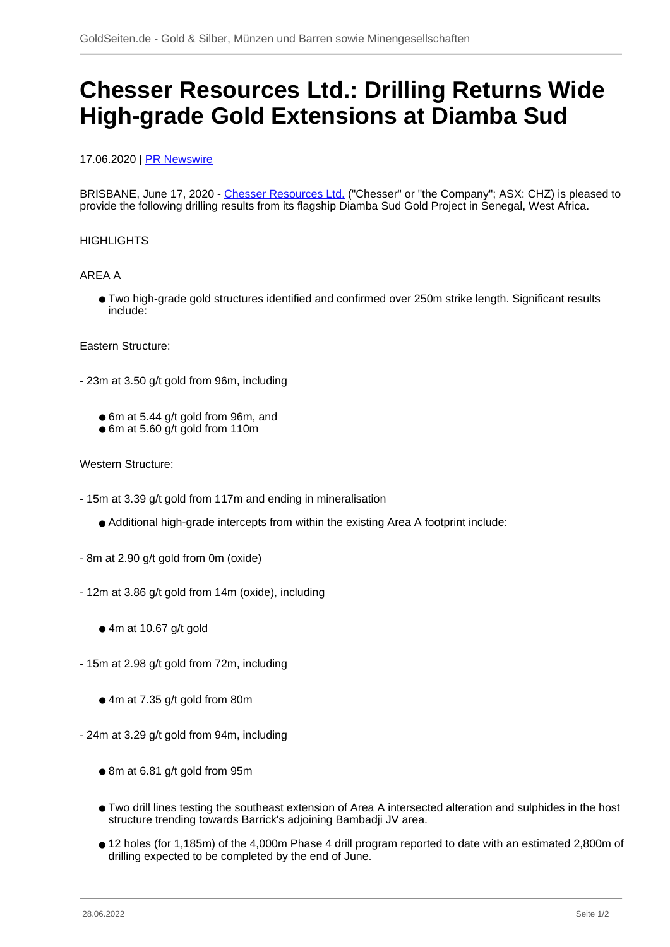# **Chesser Resources Ltd.: Drilling Returns Wide High-grade Gold Extensions at Diamba Sud**

## 17.06.2020 | [PR Newswire](/profil/227--PR-Newswire)

BRISBANE, June 17, 2020 - [Chesser Resources Ltd.](/minen/2224--Chesser-Resources-Ltd) ("Chesser" or "the Company"; ASX: CHZ) is pleased to provide the following drilling results from its flagship Diamba Sud Gold Project in Senegal, West Africa.

### **HIGHLIGHTS**

### AREA A

● Two high-grade gold structures identified and confirmed over 250m strike length. Significant results include:

### Eastern Structure:

- 23m at 3.50 g/t gold from 96m, including
	- 6m at 5.44 g/t gold from 96m, and
	- 6m at 5.60 g/t gold from 110m

### Western Structure:

- 15m at 3.39 g/t gold from 117m and ending in mineralisation
	- Additional high-grade intercepts from within the existing Area A footprint include:
- 8m at 2.90 g/t gold from 0m (oxide)
- 12m at 3.86 g/t gold from 14m (oxide), including
	- $•$  4m at 10.67 g/t gold
- 15m at 2.98 g/t gold from 72m, including
	- 4m at 7.35 g/t gold from 80m
- 24m at 3.29 g/t gold from 94m, including
	- 8m at 6.81 g/t gold from 95m
	- Two drill lines testing the southeast extension of Area A intersected alteration and sulphides in the host structure trending towards Barrick's adjoining Bambadji JV area.
	- 12 holes (for 1,185m) of the 4,000m Phase 4 drill program reported to date with an estimated 2,800m of drilling expected to be completed by the end of June.